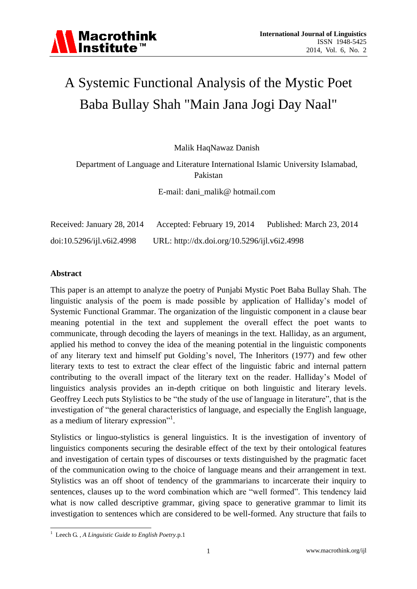# A Systemic Functional Analysis of the Mystic Poet Baba Bullay Shah "Main Jana Jogi Day Naal"

Malik HaqNawaz Danish

Department of Language and Literature International Islamic University Islamabad, Pakistan

E-mail: dani\_malik@ hotmail.com

| Received: January 28, 2014 | Accepted: February 19, 2014                  | Published: March 23, 2014 |
|----------------------------|----------------------------------------------|---------------------------|
| doi:10.5296/ijl.v6i2.4998  | URL: http://dx.doi.org/10.5296/ijl.v6i2.4998 |                           |

#### **Abstract**

This paper is an attempt to analyze the poetry of Punjabi Mystic Poet Baba Bullay Shah. The linguistic analysis of the poem is made possible by application of Halliday"s model of Systemic Functional Grammar. The organization of the linguistic component in a clause bear meaning potential in the text and supplement the overall effect the poet wants to communicate, through decoding the layers of meanings in the text. Halliday, as an argument, applied his method to convey the idea of the meaning potential in the linguistic components of any literary text and himself put Golding"s novel, The Inheritors (1977) and few other literary texts to test to extract the clear effect of the linguistic fabric and internal pattern contributing to the overall impact of the literary text on the reader. Halliday"s Model of linguistics analysis provides an in-depth critique on both linguistic and literary levels. Geoffrey Leech puts Stylistics to be "the study of the use of language in literature", that is the investigation of "the general characteristics of language, and especially the English language, as a medium of literary expression"<sup>1</sup>.

Stylistics or linguo-stylistics is general linguistics. It is the investigation of inventory of linguistics components securing the desirable effect of the text by their ontological features and investigation of certain types of discourses or texts distinguished by the pragmatic facet of the communication owing to the choice of language means and their arrangement in text. Stylistics was an off shoot of tendency of the grammarians to incarcerate their inquiry to sentences, clauses up to the word combination which are "well formed". This tendency laid what is now called descriptive grammar, giving space to generative grammar to limit its investigation to sentences which are considered to be well-formed. Any structure that fails to

<sup>&</sup>lt;u>.</u> <sup>1</sup> Leech G. *, A Linguistic Guide to English Poetry*.p.1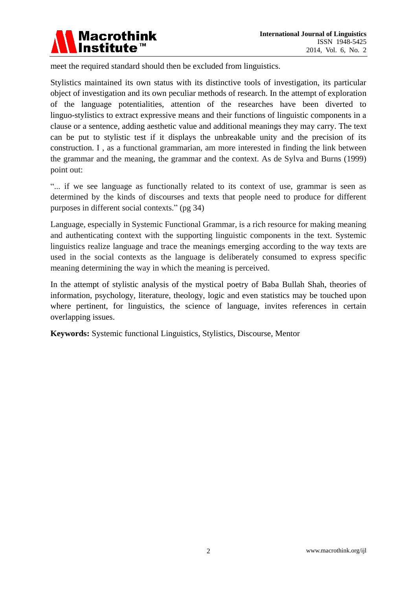

meet the required standard should then be excluded from linguistics.

Stylistics maintained its own status with its distinctive tools of investigation, its particular object of investigation and its own peculiar methods of research. In the attempt of exploration of the language potentialities, attention of the researches have been diverted to linguo-stylistics to extract expressive means and their functions of linguistic components in a clause or a sentence, adding aesthetic value and additional meanings they may carry. The text can be put to stylistic test if it displays the unbreakable unity and the precision of its construction. I , as a functional grammarian, am more interested in finding the link between the grammar and the meaning, the grammar and the context. As de Sylva and Burns (1999) point out:

"... if we see language as functionally related to its context of use, grammar is seen as determined by the kinds of discourses and texts that people need to produce for different purposes in different social contexts." (pg 34)

Language, especially in Systemic Functional Grammar, is a rich resource for making meaning and authenticating context with the supporting linguistic components in the text. Systemic linguistics realize language and trace the meanings emerging according to the way texts are used in the social contexts as the language is deliberately consumed to express specific meaning determining the way in which the meaning is perceived.

In the attempt of stylistic analysis of the mystical poetry of Baba Bullah Shah, theories of information, psychology, literature, theology, logic and even statistics may be touched upon where pertinent, for linguistics, the science of language, invites references in certain overlapping issues.

**Keywords:** Systemic functional Linguistics, Stylistics, Discourse, Mentor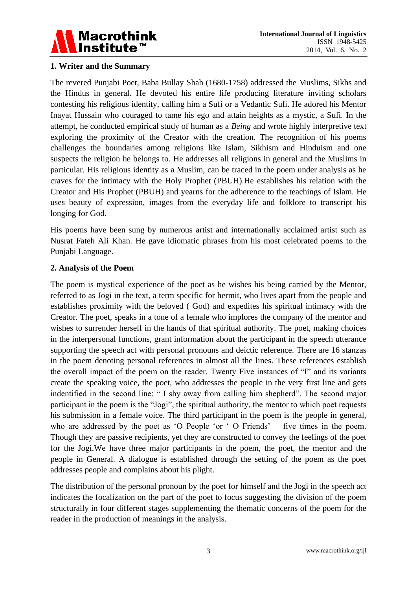

#### **1. Writer and the Summary**

The revered Punjabi Poet, Baba Bullay Shah (1680-1758) addressed the Muslims, Sikhs and the Hindus in general. He devoted his entire life producing literature inviting scholars contesting his religious identity, calling him a Sufi or a Vedantic Sufi. He adored his Mentor Inayat Hussain who couraged to tame his ego and attain heights as a mystic, a Sufi. In the attempt, he conducted empirical study of human as a *Being* and wrote highly interpretive text exploring the proximity of the Creator with the creation. The recognition of his poems challenges the boundaries among religions like Islam, Sikhism and Hinduism and one suspects the religion he belongs to. He addresses all religions in general and the Muslims in particular. His religious identity as a Muslim, can be traced in the poem under analysis as he craves for the intimacy with the Holy Prophet (PBUH).He establishes his relation with the Creator and His Prophet (PBUH) and yearns for the adherence to the teachings of Islam. He uses beauty of expression, images from the everyday life and folklore to transcript his longing for God.

His poems have been sung by numerous artist and internationally acclaimed artist such as Nusrat Fateh Ali Khan. He gave idiomatic phrases from his most celebrated poems to the Punjabi Language.

#### **2. Analysis of the Poem**

The poem is mystical experience of the poet as he wishes his being carried by the Mentor, referred to as Jogi in the text, a term specific for hermit, who lives apart from the people and establishes proximity with the beloved ( God) and expedites his spiritual intimacy with the Creator. The poet, speaks in a tone of a female who implores the company of the mentor and wishes to surrender herself in the hands of that spiritual authority. The poet, making choices in the interpersonal functions, grant information about the participant in the speech utterance supporting the speech act with personal pronouns and deictic reference. There are 16 stanzas in the poem denoting personal references in almost all the lines. These references establish the overall impact of the poem on the reader. Twenty Five instances of "I" and its variants create the speaking voice, the poet, who addresses the people in the very first line and gets indentified in the second line: " I shy away from calling him shepherd". The second major participant in the poem is the "Jogi", the spiritual authority, the mentor to which poet requests his submission in a female voice. The third participant in the poem is the people in general, who are addressed by the poet as 'O People 'or ' O Friends' five times in the poem. Though they are passive recipients, yet they are constructed to convey the feelings of the poet for the Jogi.We have three major participants in the poem, the poet, the mentor and the people in General. A dialogue is established through the setting of the poem as the poet addresses people and complains about his plight.

The distribution of the personal pronoun by the poet for himself and the Jogi in the speech act indicates the focalization on the part of the poet to focus suggesting the division of the poem structurally in four different stages supplementing the thematic concerns of the poem for the reader in the production of meanings in the analysis.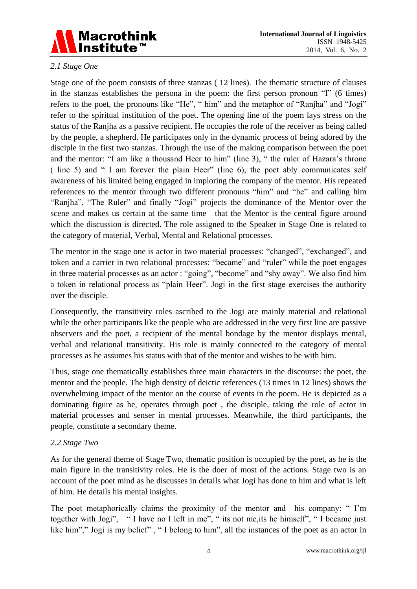

## *2.1 Stage One*

Stage one of the poem consists of three stanzas ( 12 lines). The thematic structure of clauses in the stanzas establishes the persona in the poem: the first person pronoun "I" (6 times) refers to the poet, the pronouns like "He", " him" and the metaphor of "Ranjha" and "Jogi" refer to the spiritual institution of the poet. The opening line of the poem lays stress on the status of the Ranjha as a passive recipient. He occupies the role of the receiver as being called by the people, a shepherd. He participates only in the dynamic process of being adored by the disciple in the first two stanzas. Through the use of the making comparison between the poet and the mentor: "I am like a thousand Heer to him" (line 3), " the ruler of Hazara"s throne ( line 5) and " I am forever the plain Heer" (line 6), the poet ably communicates self awareness of his limited being engaged in imploring the company of the mentor. His repeated references to the mentor through two different pronouns "him" and "he" and calling him "Ranjha", "The Ruler" and finally "Jogi" projects the dominance of the Mentor over the scene and makes us certain at the same time that the Mentor is the central figure around which the discussion is directed. The role assigned to the Speaker in Stage One is related to the category of material, Verbal, Mental and Relational processes.

The mentor in the stage one is actor in two material processes: "changed", "exchanged", and token and a carrier in two relational processes: "became" and "ruler" while the poet engages in three material processes as an actor : "going", "become" and "shy away". We also find him a token in relational process as "plain Heer". Jogi in the first stage exercises the authority over the disciple.

Consequently, the transitivity roles ascribed to the Jogi are mainly material and relational while the other participants like the people who are addressed in the very first line are passive observers and the poet, a recipient of the mental bondage by the mentor displays mental, verbal and relational transitivity. His role is mainly connected to the category of mental processes as he assumes his status with that of the mentor and wishes to be with him.

Thus, stage one thematically establishes three main characters in the discourse: the poet, the mentor and the people. The high density of deictic references (13 times in 12 lines) shows the overwhelming impact of the mentor on the course of events in the poem. He is depicted as a dominating figure as he, operates through poet , the disciple, taking the role of actor in material processes and senser in mental processes. Meanwhile, the third participants, the people, constitute a secondary theme.

## *2.2 Stage Two*

As for the general theme of Stage Two, thematic position is occupied by the poet, as he is the main figure in the transitivity roles. He is the doer of most of the actions. Stage two is an account of the poet mind as he discusses in details what Jogi has done to him and what is left of him. He details his mental insights.

The poet metaphorically claims the proximity of the mentor and his company: "I'm together with Jogi", " I have no I left in me", " its not me,its he himself", " I became just like him"," Jogi is my belief", "I belong to him", all the instances of the poet as an actor in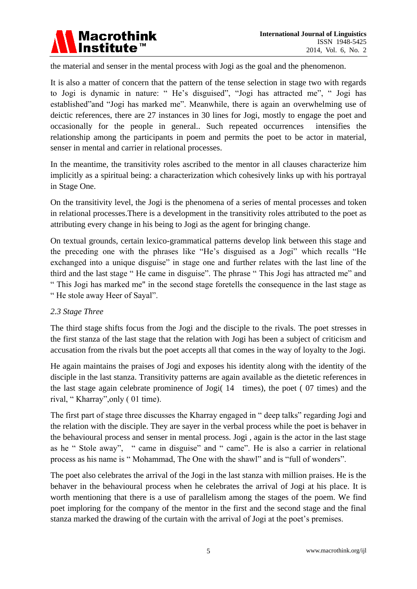

the material and senser in the mental process with Jogi as the goal and the phenomenon.

It is also a matter of concern that the pattern of the tense selection in stage two with regards to Jogi is dynamic in nature: " He"s disguised", "Jogi has attracted me", " Jogi has established"and "Jogi has marked me". Meanwhile, there is again an overwhelming use of deictic references, there are 27 instances in 30 lines for Jogi, mostly to engage the poet and occasionally for the people in general.. Such repeated occurrences intensifies the relationship among the participants in poem and permits the poet to be actor in material, senser in mental and carrier in relational processes.

In the meantime, the transitivity roles ascribed to the mentor in all clauses characterize him implicitly as a spiritual being: a characterization which cohesively links up with his portrayal in Stage One.

On the transitivity level, the Jogi is the phenomena of a series of mental processes and token in relational processes.There is a development in the transitivity roles attributed to the poet as attributing every change in his being to Jogi as the agent for bringing change.

On textual grounds, certain lexico-grammatical patterns develop link between this stage and the preceding one with the phrases like "He"s disguised as a Jogi" which recalls "He exchanged into a unique disguise" in stage one and further relates with the last line of the third and the last stage " He came in disguise". The phrase " This Jogi has attracted me" and " This Jogi has marked me" in the second stage foretells the consequence in the last stage as " He stole away Heer of Sayal".

## *2.3 Stage Three*

The third stage shifts focus from the Jogi and the disciple to the rivals. The poet stresses in the first stanza of the last stage that the relation with Jogi has been a subject of criticism and accusation from the rivals but the poet accepts all that comes in the way of loyalty to the Jogi.

He again maintains the praises of Jogi and exposes his identity along with the identity of the disciple in the last stanza. Transitivity patterns are again available as the dietetic references in the last stage again celebrate prominence of Jogi( 14 times), the poet ( 07 times) and the rival, " Kharray",only ( 01 time).

The first part of stage three discusses the Kharray engaged in " deep talks" regarding Jogi and the relation with the disciple. They are sayer in the verbal process while the poet is behaver in the behavioural process and senser in mental process. Jogi , again is the actor in the last stage as he " Stole away", " came in disguise" and " came". He is also a carrier in relational process as his name is " Mohammad, The One with the shawl" and is "full of wonders".

The poet also celebrates the arrival of the Jogi in the last stanza with million praises. He is the behaver in the behavioural process when he celebrates the arrival of Jogi at his place. It is worth mentioning that there is a use of parallelism among the stages of the poem. We find poet imploring for the company of the mentor in the first and the second stage and the final stanza marked the drawing of the curtain with the arrival of Jogi at the poet's premises.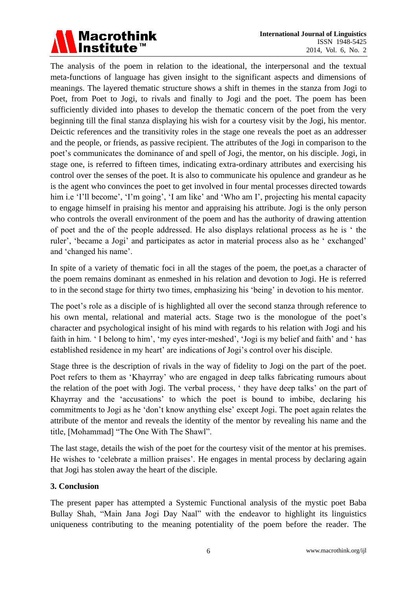

The analysis of the poem in relation to the ideational, the interpersonal and the textual meta-functions of language has given insight to the significant aspects and dimensions of meanings. The layered thematic structure shows a shift in themes in the stanza from Jogi to Poet, from Poet to Jogi, to rivals and finally to Jogi and the poet. The poem has been sufficiently divided into phases to develop the thematic concern of the poet from the very beginning till the final stanza displaying his wish for a courtesy visit by the Jogi, his mentor. Deictic references and the transitivity roles in the stage one reveals the poet as an addresser and the people, or friends, as passive recipient. The attributes of the Jogi in comparison to the poet"s communicates the dominance of and spell of Jogi, the mentor, on his disciple. Jogi, in stage one, is referred to fifteen times, indicating extra-ordinary attributes and exercising his control over the senses of the poet. It is also to communicate his opulence and grandeur as he is the agent who convinces the poet to get involved in four mental processes directed towards him i.e 'I'll become', 'I'm going', 'I am like' and 'Who am I', projecting his mental capacity to engage himself in praising his mentor and appraising his attribute. Jogi is the only person who controls the overall environment of the poem and has the authority of drawing attention of poet and the of the people addressed. He also displays relational process as he is " the ruler', 'became a Jogi' and participates as actor in material process also as he 'exchanged' and "changed his name".

In spite of a variety of thematic foci in all the stages of the poem, the poet,as a character of the poem remains dominant as enmeshed in his relation and devotion to Jogi. He is referred to in the second stage for thirty two times, emphasizing his "being" in devotion to his mentor.

The poet's role as a disciple of is highlighted all over the second stanza through reference to his own mental, relational and material acts. Stage two is the monologue of the poet's character and psychological insight of his mind with regards to his relation with Jogi and his faith in him. 'I belong to him', 'my eyes inter-meshed', 'Jogi is my belief and faith' and ' has established residence in my heart' are indications of Jogi's control over his disciple.

Stage three is the description of rivals in the way of fidelity to Jogi on the part of the poet. Poet refers to them as "Khayrray" who are engaged in deep talks fabricating rumours about the relation of the poet with Jogi. The verbal process, " they have deep talks" on the part of Khayrray and the "accusations" to which the poet is bound to imbibe, declaring his commitments to Jogi as he "don"t know anything else" except Jogi. The poet again relates the attribute of the mentor and reveals the identity of the mentor by revealing his name and the title, [Mohammad] "The One With The Shawl".

The last stage, details the wish of the poet for the courtesy visit of the mentor at his premises. He wishes to 'celebrate a million praises'. He engages in mental process by declaring again that Jogi has stolen away the heart of the disciple.

## **3. Conclusion**

The present paper has attempted a Systemic Functional analysis of the mystic poet Baba Bullay Shah, "Main Jana Jogi Day Naal" with the endeavor to highlight its linguistics uniqueness contributing to the meaning potentiality of the poem before the reader. The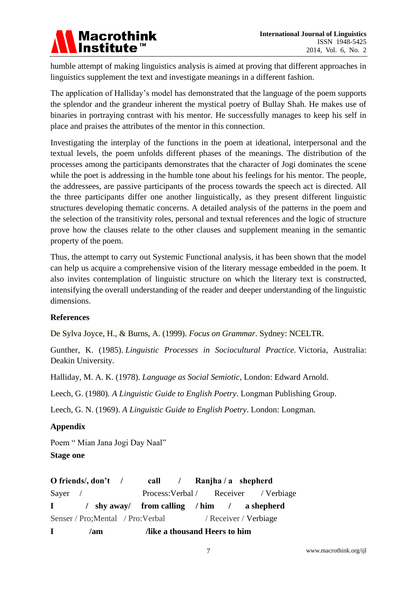

humble attempt of making linguistics analysis is aimed at proving that different approaches in linguistics supplement the text and investigate meanings in a different fashion.

The application of Halliday"s model has demonstrated that the language of the poem supports the splendor and the grandeur inherent the mystical poetry of Bullay Shah. He makes use of binaries in portraying contrast with his mentor. He successfully manages to keep his self in place and praises the attributes of the mentor in this connection.

Investigating the interplay of the functions in the poem at ideational, interpersonal and the textual levels, the poem unfolds different phases of the meanings. The distribution of the processes among the participants demonstrates that the character of Jogi dominates the scene while the poet is addressing in the humble tone about his feelings for his mentor. The people, the addressees, are passive participants of the process towards the speech act is directed. All the three participants differ one another linguistically, as they present different linguistic structures developing thematic concerns. A detailed analysis of the patterns in the poem and the selection of the transitivity roles, personal and textual references and the logic of structure prove how the clauses relate to the other clauses and supplement meaning in the semantic property of the poem.

Thus, the attempt to carry out Systemic Functional analysis, it has been shown that the model can help us acquire a comprehensive vision of the literary message embedded in the poem. It also invites contemplation of linguistic structure on which the literary text is constructed, intensifying the overall understanding of the reader and deeper understanding of the linguistic dimensions.

## **References**

De Sylva Joyce, H., & Burns, A. (1999). *Focus on Grammar*. Sydney: NCELTR.

Gunther, K. (1985). *Linguistic Processes in Sociocultural Practice.* Victoria, Australia: Deakin University.

Halliday, M. A. K. (1978). *Language as Social Semiotic*, London: Edward Arnold.

Leech, G. (1980)*. A Linguistic Guide to English Poetry*. Longman Publishing Group.

Leech, G. N. (1969). *A Linguistic Guide to English Poetry*. London: Longman.

## **Appendix**

Poem " Mian Jana Jogi Day Naal" **Stage one**

|                                    | O friends/, $don't$ / |                              | call / Ranjha / a shepherd                  |  |  |  |  |
|------------------------------------|-----------------------|------------------------------|---------------------------------------------|--|--|--|--|
| Sayer $\sqrt{ }$                   |                       |                              | Process: Verbal / Receiver / Verbiage       |  |  |  |  |
| $\mathbf{I}$ and $\mathbf{I}$      |                       |                              | / shy away/ from calling / him / a shepherd |  |  |  |  |
| Senser / Pro; Mental / Pro: Verbal |                       |                              | / Receiver / Verbiage                       |  |  |  |  |
| $\mathbf{I}$                       | /am                   | like a thousand Heers to him |                                             |  |  |  |  |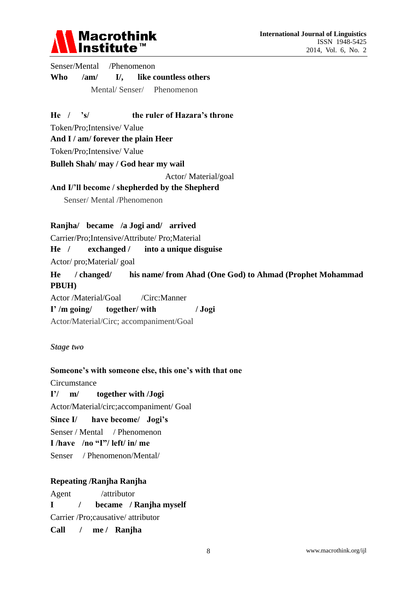

Senser/Mental /Phenomenon **Who /am/ I/, like countless others** Mental/ Senser/ Phenomenon

**He / 's/ the ruler of Hazara's throne**

Token/Pro;Intensive/ Value

**And I / am/ forever the plain Heer**

Token/Pro;Intensive/ Value

**Bulleh Shah/ may / God hear my wail**

Actor/ Material/goal

#### **And I/'ll become / shepherded by the Shepherd**

Senser/ Mental /Phenomenon

#### **Ranjha/ became /a Jogi and/ arrived**

Carrier/Pro;Intensive/Attribute/ Pro;Material

**He / exchanged / into a unique disguise**

Actor/ pro;Material/ goal

**He / changed/ his name/ from Ahad (One God) to Ahmad (Prophet Mohammad PBUH)**

Actor /Material/Goal /Circ:Manner **I' /m going/ together/ with / Jogi** Actor/Material/Circ; accompaniment/Goal

*Stage two*

#### **Someone's with someone else, this one's with that one**

**Circumstance** 

**I'/ m/ together with /Jogi** Actor/Material/circ;accompaniment/ Goal **Since I/ have become/ Jogi's** Senser / Mental / Phenomenon **I /have /no "I"/ left/ in/ me** Senser / Phenomenon/Mental/

#### **Repeating /Ranjha Ranjha**

Agent /attributor

**I / became / Ranjha myself**

Carrier /Pro;causative/ attributor

**Call / me / Ranjha**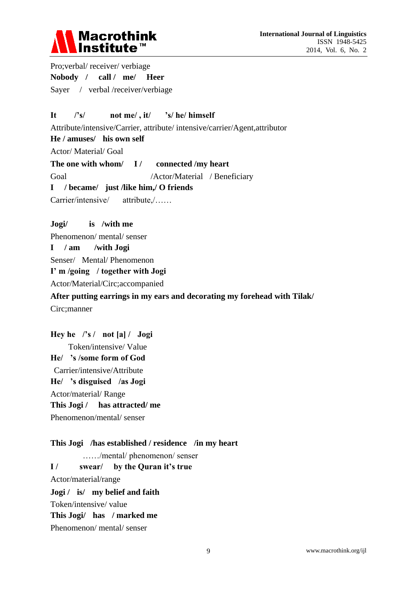

Pro;verbal/ receiver/ verbiage **Nobody / call / me/ Heer** Sayer / verbal /receiver/verbiage

## **It /'s/ not me/ , it/ 's/ he/ himself**

Attribute/intensive/Carrier, attribute/ intensive/carrier/Agent,attributor

**He / amuses/ his own self**

Actor/ Material/ Goal

The one with whom/ I/ connected /my heart

Goal /Actor/Material / Beneficiary

#### **I / became/ just /like him,/ O friends**

Carrier/intensive/ attribute,/……

#### **Jogi/ is /with me**

Phenomenon/ mental/ senser

#### **I / am /with Jogi**

Senser/ Mental/ Phenomenon

**I' m /going / together with Jogi**

Actor/Material/Circ;accompanied

## **After putting earrings in my ears and decorating my forehead with Tilak/** Circ;manner

**Hey he /'s / not [a] / Jogi** Token/intensive/ Value **He/ 's /some form of God** Carrier/intensive/Attribute **He/ 's disguised /as Jogi** Actor/material/ Range **This Jogi / has attracted/ me** Phenomenon/mental/ senser

**This Jogi /has established / residence /in my heart** ……/mental/ phenomenon/ senser **I / swear/ by the Quran it's true** Actor/material/range **Jogi / is/ my belief and faith** Token/intensive/ value **This Jogi/ has / marked me** Phenomenon/ mental/ senser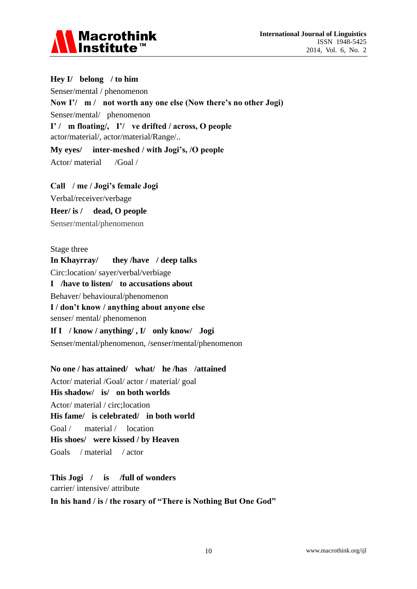

## **Hey I/ belong / to him**

Senser/mental / phenomenon

**Now I'/ m / not worth any one else (Now there's no other Jogi)**

Senser/mental/ phenomenon

**I' / m floating/, I'/ ve drifted / across, O people** actor/material/, actor/material/Range/..

**My eyes/ inter-meshed / with Jogi's, /O people** Actor/ material /Goal /

**Call / me / Jogi's female Jogi**

Verbal/receiver/verbage

**Heer/ is / dead, O people**

Senser/mental/phenomenon

Stage three

**In Khayrray/ they /have / deep talks**

Circ:location/ sayer/verbal/verbiage

**I /have to listen/ to accusations about**

Behaver/ behavioural/phenomenon

**I / don't know / anything about anyone else**

senser/ mental/ phenomenon

**If I / know / anything/ , I/ only know/ Jogi** Senser/mental/phenomenon, /senser/mental/phenomenon

**No one / has attained/ what/ he /has /attained**

Actor/ material /Goal/ actor / material/ goal **His shadow/ is/ on both worlds**

Actor/ material / circ;location **His fame/ is celebrated/ in both world** Goal / material / location **His shoes/ were kissed / by Heaven**

Goals / material / actor

**This Jogi / is /full of wonders** carrier/ intensive/ attribute

**In his hand / is / the rosary of "There is Nothing But One God"**